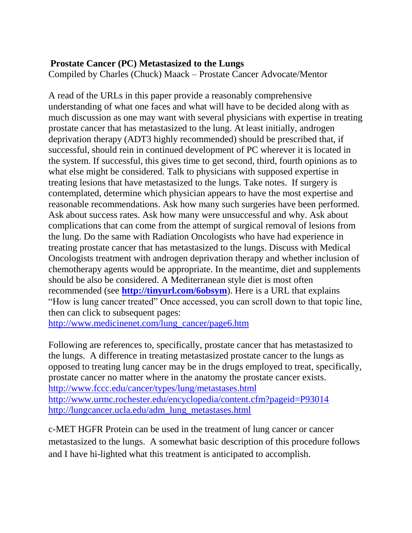## **Prostate Cancer (PC) Metastasized to the Lungs**

Compiled by Charles (Chuck) Maack – Prostate Cancer Advocate/Mentor

A read of the URLs in this paper provide a reasonably comprehensive understanding of what one faces and what will have to be decided along with as much discussion as one may want with several physicians with expertise in treating prostate cancer that has metastasized to the lung. At least initially, androgen deprivation therapy (ADT3 highly recommended) should be prescribed that, if successful, should rein in continued development of PC wherever it is located in the system. If successful, this gives time to get second, third, fourth opinions as to what else might be considered. Talk to physicians with supposed expertise in treating lesions that have metastasized to the lungs. Take notes. If surgery is contemplated, determine which physician appears to have the most expertise and reasonable recommendations. Ask how many such surgeries have been performed. Ask about success rates. Ask how many were unsuccessful and why. Ask about complications that can come from the attempt of surgical removal of lesions from the lung. Do the same with Radiation Oncologists who have had experience in treating prostate cancer that has metastasized to the lungs. Discuss with Medical Oncologists treatment with androgen deprivation therapy and whether inclusion of chemotherapy agents would be appropriate. In the meantime, diet and supplements should be also be considered. A Mediterranean style diet is most often recommended (see **<http://tinyurl.com/6obsym>**). Here is a URL that explains "How is lung cancer treated" Once accessed, you can scroll down to that topic line, then can click to subsequent pages:

[http://www.medicinenet.com/lung\\_cancer/page6.htm](http://www.medicinenet.com/lung_cancer/page6.htm) 

Following are references to, specifically, prostate cancer that has metastasized to the lungs. A difference in treating metastasized prostate cancer to the lungs as opposed to treating lung cancer may be in the drugs employed to treat, specifically, prostate cancer no matter where in the anatomy the prostate cancer exists. <http://www.fccc.edu/cancer/types/lung/metastases.html> <http://www.urmc.rochester.edu/encyclopedia/content.cfm?pageid=P93014> [http://lungcancer.ucla.edu/adm\\_lung\\_metastases.html](http://lungcancer.ucla.edu/adm_lung_metastases.html)

c-MET HGFR Protein can be used in the treatment of lung cancer or cancer metastasized to the lungs. A somewhat basic description of this procedure follows and I have hi-lighted what this treatment is anticipated to accomplish.